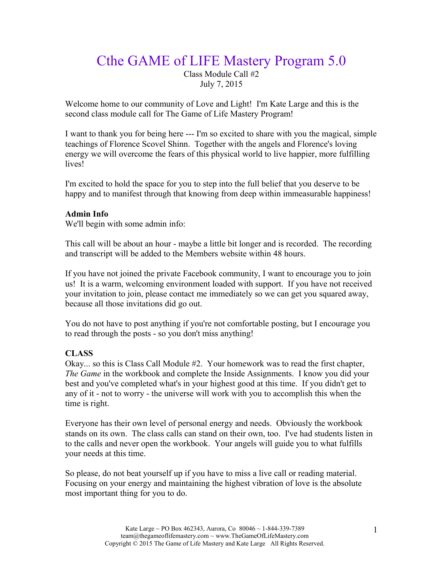# Cthe GAME of LIFE Mastery Program 5.0

Class Module Call #2 July 7, 2015

Welcome home to our community of Love and Light! I'm Kate Large and this is the second class module call for The Game of Life Mastery Program!

I want to thank you for being here --- I'm so excited to share with you the magical, simple teachings of Florence Scovel Shinn. Together with the angels and Florence's loving energy we will overcome the fears of this physical world to live happier, more fulfilling lives!

I'm excited to hold the space for you to step into the full belief that you deserve to be happy and to manifest through that knowing from deep within immeasurable happiness!

## **Admin Info**

We'll begin with some admin info:

This call will be about an hour - maybe a little bit longer and is recorded. The recording and transcript will be added to the Members website within 48 hours.

If you have not joined the private Facebook community, I want to encourage you to join us! It is a warm, welcoming environment loaded with support. If you have not received your invitation to join, please contact me immediately so we can get you squared away, because all those invitations did go out.

You do not have to post anything if you're not comfortable posting, but I encourage you to read through the posts - so you don't miss anything!

## **CLASS**

Okay... so this is Class Call Module #2. Your homework was to read the first chapter, *The Game* in the workbook and complete the Inside Assignments. I know you did your best and you've completed what's in your highest good at this time. If you didn't get to any of it - not to worry - the universe will work with you to accomplish this when the time is right.

Everyone has their own level of personal energy and needs. Obviously the workbook stands on its own. The class calls can stand on their own, too. I've had students listen in to the calls and never open the workbook. Your angels will guide you to what fulfills your needs at this time.

So please, do not beat yourself up if you have to miss a live call or reading material. Focusing on your energy and maintaining the highest vibration of love is the absolute most important thing for you to do.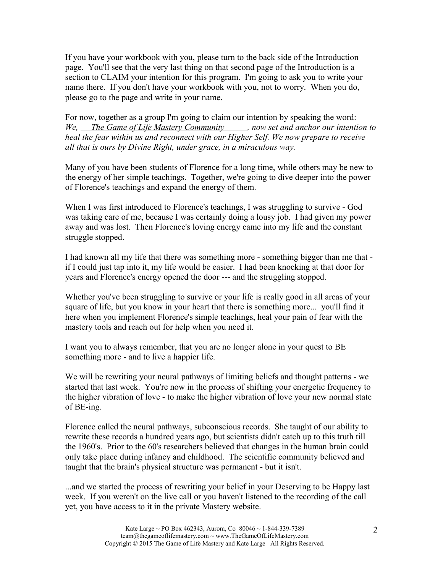If you have your workbook with you, please turn to the back side of the Introduction page. You'll see that the very last thing on that second page of the Introduction is a section to CLAIM your intention for this program. I'm going to ask you to write your name there. If you don't have your workbook with you, not to worry. When you do, please go to the page and write in your name.

For now, together as a group I'm going to claim our intention by speaking the word: *We, The Game of Life Mastery Community , now set and anchor our intention to heal the fear within us and reconnect with our Higher Self. We now prepare to receive all that is ours by Divine Right, under grace, in a miraculous way.* 

Many of you have been students of Florence for a long time, while others may be new to the energy of her simple teachings. Together, we're going to dive deeper into the power of Florence's teachings and expand the energy of them.

When I was first introduced to Florence's teachings, I was struggling to survive - God was taking care of me, because I was certainly doing a lousy job. I had given my power away and was lost. Then Florence's loving energy came into my life and the constant struggle stopped.

I had known all my life that there was something more - something bigger than me that if I could just tap into it, my life would be easier. I had been knocking at that door for years and Florence's energy opened the door --- and the struggling stopped.

Whether you've been struggling to survive or your life is really good in all areas of your square of life, but you know in your heart that there is something more... you'll find it here when you implement Florence's simple teachings, heal your pain of fear with the mastery tools and reach out for help when you need it.

I want you to always remember, that you are no longer alone in your quest to BE something more - and to live a happier life.

We will be rewriting your neural pathways of limiting beliefs and thought patterns - we started that last week. You're now in the process of shifting your energetic frequency to the higher vibration of love - to make the higher vibration of love your new normal state of BE-ing.

Florence called the neural pathways, subconscious records. She taught of our ability to rewrite these records a hundred years ago, but scientists didn't catch up to this truth till the 1960's. Prior to the 60's researchers believed that changes in the human brain could only take place during infancy and childhood. The scientific community believed and taught that the brain's physical structure was permanent - but it isn't.

...and we started the process of rewriting your belief in your Deserving to be Happy last week. If you weren't on the live call or you haven't listened to the recording of the call yet, you have access to it in the private Mastery website.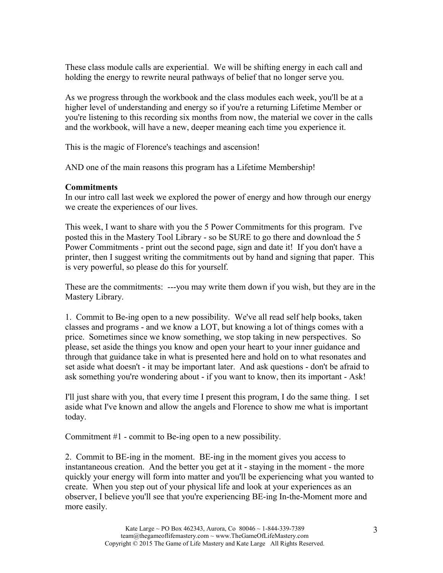These class module calls are experiential. We will be shifting energy in each call and holding the energy to rewrite neural pathways of belief that no longer serve you.

As we progress through the workbook and the class modules each week, you'll be at a higher level of understanding and energy so if you're a returning Lifetime Member or you're listening to this recording six months from now, the material we cover in the calls and the workbook, will have a new, deeper meaning each time you experience it.

This is the magic of Florence's teachings and ascension!

AND one of the main reasons this program has a Lifetime Membership!

## **Commitments**

In our intro call last week we explored the power of energy and how through our energy we create the experiences of our lives.

This week, I want to share with you the 5 Power Commitments for this program. I've posted this in the Mastery Tool Library - so be SURE to go there and download the 5 Power Commitments - print out the second page, sign and date it! If you don't have a printer, then I suggest writing the commitments out by hand and signing that paper. This is very powerful, so please do this for yourself.

These are the commitments: ---you may write them down if you wish, but they are in the Mastery Library.

1. Commit to Be-ing open to a new possibility. We've all read self help books, taken classes and programs - and we know a LOT, but knowing a lot of things comes with a price. Sometimes since we know something, we stop taking in new perspectives. So please, set aside the things you know and open your heart to your inner guidance and through that guidance take in what is presented here and hold on to what resonates and set aside what doesn't - it may be important later. And ask questions - don't be afraid to ask something you're wondering about - if you want to know, then its important - Ask!

I'll just share with you, that every time I present this program, I do the same thing. I set aside what I've known and allow the angels and Florence to show me what is important today.

Commitment #1 - commit to Be-ing open to a new possibility.

2. Commit to BE-ing in the moment. BE-ing in the moment gives you access to instantaneous creation. And the better you get at it - staying in the moment - the more quickly your energy will form into matter and you'll be experiencing what you wanted to create. When you step out of your physical life and look at your experiences as an observer, I believe you'll see that you're experiencing BE-ing In-the-Moment more and more easily.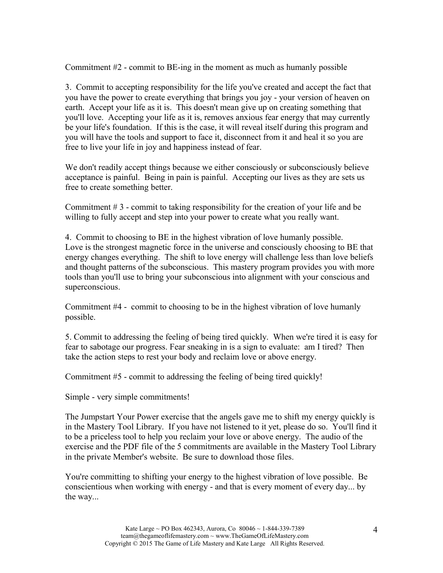Commitment #2 - commit to BE-ing in the moment as much as humanly possible

3. Commit to accepting responsibility for the life you've created and accept the fact that you have the power to create everything that brings you joy - your version of heaven on earth. Accept your life as it is. This doesn't mean give up on creating something that you'll love. Accepting your life as it is, removes anxious fear energy that may currently be your life's foundation. If this is the case, it will reveal itself during this program and you will have the tools and support to face it, disconnect from it and heal it so you are free to live your life in joy and happiness instead of fear.

We don't readily accept things because we either consciously or subconsciously believe acceptance is painful. Being in pain is painful. Accepting our lives as they are sets us free to create something better.

Commitment # 3 - commit to taking responsibility for the creation of your life and be willing to fully accept and step into your power to create what you really want.

4. Commit to choosing to BE in the highest vibration of love humanly possible. Love is the strongest magnetic force in the universe and consciously choosing to BE that energy changes everything. The shift to love energy will challenge less than love beliefs and thought patterns of the subconscious. This mastery program provides you with more tools than you'll use to bring your subconscious into alignment with your conscious and superconscious.

Commitment #4 - commit to choosing to be in the highest vibration of love humanly possible.

5. Commit to addressing the feeling of being tired quickly. When we're tired it is easy for fear to sabotage our progress. Fear sneaking in is a sign to evaluate: am I tired? Then take the action steps to rest your body and reclaim love or above energy.

Commitment #5 - commit to addressing the feeling of being tired quickly!

Simple - very simple commitments!

The Jumpstart Your Power exercise that the angels gave me to shift my energy quickly is in the Mastery Tool Library. If you have not listened to it yet, please do so. You'll find it to be a priceless tool to help you reclaim your love or above energy. The audio of the exercise and the PDF file of the 5 commitments are available in the Mastery Tool Library in the private Member's website. Be sure to download those files.

You're committing to shifting your energy to the highest vibration of love possible. Be conscientious when working with energy - and that is every moment of every day... by the way...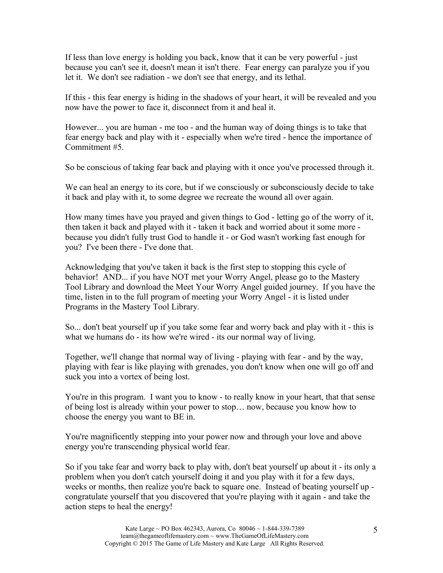If less than love energy is holding you back, know that it can be very powerful - just because you can't see it, doesn't mean it isn't there. Fear energy can paralyze you if you let it. We don't see radiation - we don't see that energy, and its lethal.

If this - this fear energy is hiding in the shadows of your heart, it will be revealed and you now have the power to face it, disconnect from it and heal it.

However... you are human - me too - and the human way of doing things is to take that fear energy back and play with it - especially when we're tired - hence the importance of Commitment #5.

So be conscious of taking fear back and playing with it once you've processed through it.

We can heal an energy to its core, but if we consciously or subconsciously decide to take it back and play with it, to some degree we recreate the wound all over again.

How many times have you prayed and given things to God - letting go of the worry of it, then taken it back and played with it - taken it back and worried about it some more because you didn't fully trust God to handle it - or God wasn't working fast enough for you? I've been there - I've done that.

Acknowledging that you've taken it back is the first step to stopping this cycle of behavior! AND... if you have NOT met your Worry Angel, please go to the Mastery Tool Library and download the Meet Your Worry Angel guided journey. If you have the time, listen in to the full program of meeting your Worry Angel - it is listed under Programs in the Mastery Tool Library.

So... don't beat yourself up if you take some fear and worry back and play with it - this is what we humans do - its how we're wired - its our normal way of living.

Together, we'll change that normal way of living - playing with fear - and by the way, playing with fear is like playing with grenades, you don't know when one will go off and suck you into a vortex of being lost.

You're in this program. I want you to know - to really know in your heart, that that sense of being lost is already within your power to stop… now, because you know how to choose the energy you want to BE in.

You're magnificently stepping into your power now and through your love and above energy you're transcending physical world fear.

So if you take fear and worry back to play with, don't beat yourself up about it - its only a problem when you don't catch yourself doing it and you play with it for a few days, weeks or months, then realize you're back to square one. Instead of beating yourself up congratulate yourself that you discovered that you're playing with it again - and take the action steps to heal the energy!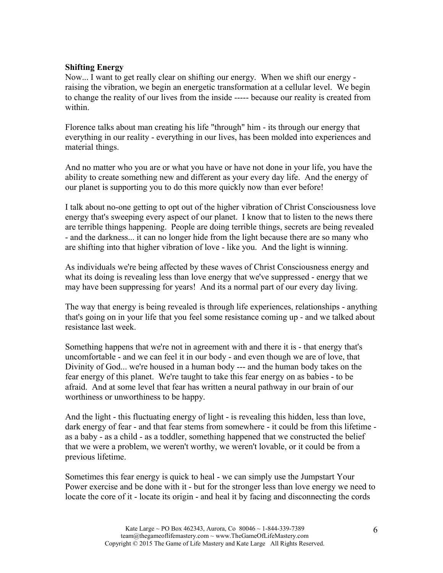## **Shifting Energy**

Now... I want to get really clear on shifting our energy. When we shift our energy raising the vibration, we begin an energetic transformation at a cellular level. We begin to change the reality of our lives from the inside ----- because our reality is created from within.

Florence talks about man creating his life "through" him - its through our energy that everything in our reality - everything in our lives, has been molded into experiences and material things.

And no matter who you are or what you have or have not done in your life, you have the ability to create something new and different as your every day life. And the energy of our planet is supporting you to do this more quickly now than ever before!

I talk about no-one getting to opt out of the higher vibration of Christ Consciousness love energy that's sweeping every aspect of our planet. I know that to listen to the news there are terrible things happening. People are doing terrible things, secrets are being revealed - and the darkness... it can no longer hide from the light because there are so many who are shifting into that higher vibration of love - like you. And the light is winning.

As individuals we're being affected by these waves of Christ Consciousness energy and what its doing is revealing less than love energy that we've suppressed - energy that we may have been suppressing for years! And its a normal part of our every day living.

The way that energy is being revealed is through life experiences, relationships - anything that's going on in your life that you feel some resistance coming up - and we talked about resistance last week.

Something happens that we're not in agreement with and there it is - that energy that's uncomfortable - and we can feel it in our body - and even though we are of love, that Divinity of God... we're housed in a human body --- and the human body takes on the fear energy of this planet. We're taught to take this fear energy on as babies - to be afraid. And at some level that fear has written a neural pathway in our brain of our worthiness or unworthiness to be happy.

And the light - this fluctuating energy of light - is revealing this hidden, less than love, dark energy of fear - and that fear stems from somewhere - it could be from this lifetime as a baby - as a child - as a toddler, something happened that we constructed the belief that we were a problem, we weren't worthy, we weren't lovable, or it could be from a previous lifetime.

Sometimes this fear energy is quick to heal - we can simply use the Jumpstart Your Power exercise and be done with it - but for the stronger less than love energy we need to locate the core of it - locate its origin - and heal it by facing and disconnecting the cords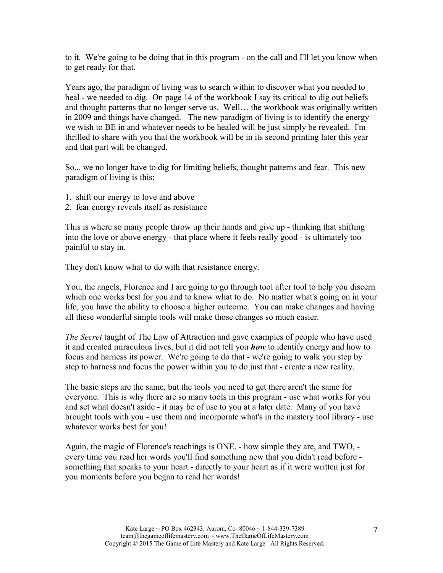to it. We're going to be doing that in this program - on the call and I'll let you know when to get ready for that.

Years ago, the paradigm of living was to search within to discover what you needed to heal - we needed to dig. On page 14 of the workbook I say its critical to dig out beliefs and thought patterns that no longer serve us. Well… the workbook was originally written in 2009 and things have changed. The new paradigm of living is to identify the energy we wish to BE in and whatever needs to be healed will be just simply be revealed. I'm thrilled to share with you that the workbook will be in its second printing later this year and that part will be changed.

So... we no longer have to dig for limiting beliefs, thought patterns and fear. This new paradigm of living is this:

- 1. shift our energy to love and above
- 2. fear energy reveals itself as resistance

This is where so many people throw up their hands and give up - thinking that shifting into the love or above energy - that place where it feels really good - is ultimately too painful to stay in.

They don't know what to do with that resistance energy.

You, the angels, Florence and I are going to go through tool after tool to help you discern which one works best for you and to know what to do. No matter what's going on in your life, you have the ability to choose a higher outcome. You can make changes and having all these wonderful simple tools will make those changes so much easier.

*The Secret* taught of The Law of Attraction and gave examples of people who have used it and created miraculous lives, but it did not tell you *how* to identify energy and how to focus and harness its power. We're going to do that - we're going to walk you step by step to harness and focus the power within you to do just that - create a new reality.

The basic steps are the same, but the tools you need to get there aren't the same for everyone. This is why there are so many tools in this program - use what works for you and set what doesn't aside - it may be of use to you at a later date. Many of you have brought tools with you - use them and incorporate what's in the mastery tool library - use whatever works best for you!

Again, the magic of Florence's teachings is ONE, - how simple they are, and TWO, every time you read her words you'll find something new that you didn't read before something that speaks to your heart - directly to your heart as if it were written just for you moments before you began to read her words!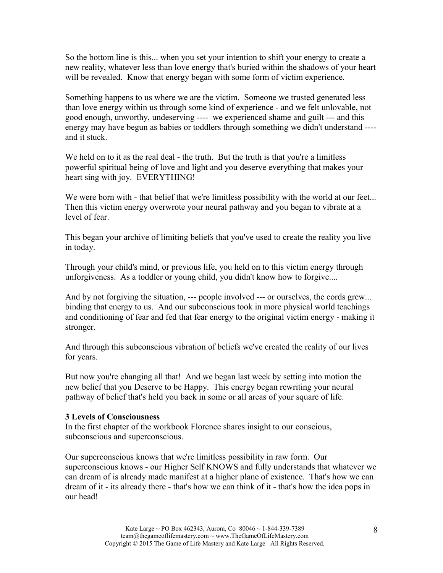So the bottom line is this... when you set your intention to shift your energy to create a new reality, whatever less than love energy that's buried within the shadows of your heart will be revealed. Know that energy began with some form of victim experience.

Something happens to us where we are the victim. Someone we trusted generated less than love energy within us through some kind of experience - and we felt unlovable, not good enough, unworthy, undeserving ---- we experienced shame and guilt --- and this energy may have begun as babies or toddlers through something we didn't understand --- and it stuck.

We held on to it as the real deal - the truth. But the truth is that you're a limitless powerful spiritual being of love and light and you deserve everything that makes your heart sing with joy. EVERYTHING!

We were born with - that belief that we're limitless possibility with the world at our feet... Then this victim energy overwrote your neural pathway and you began to vibrate at a level of fear.

This began your archive of limiting beliefs that you've used to create the reality you live in today.

Through your child's mind, or previous life, you held on to this victim energy through unforgiveness. As a toddler or young child, you didn't know how to forgive....

And by not forgiving the situation, --- people involved --- or ourselves, the cords grew... binding that energy to us. And our subconscious took in more physical world teachings and conditioning of fear and fed that fear energy to the original victim energy - making it stronger.

And through this subconscious vibration of beliefs we've created the reality of our lives for years.

But now you're changing all that! And we began last week by setting into motion the new belief that you Deserve to be Happy. This energy began rewriting your neural pathway of belief that's held you back in some or all areas of your square of life.

#### **3 Levels of Consciousness**

In the first chapter of the workbook Florence shares insight to our conscious, subconscious and superconscious.

Our superconscious knows that we're limitless possibility in raw form. Our superconscious knows - our Higher Self KNOWS and fully understands that whatever we can dream of is already made manifest at a higher plane of existence. That's how we can dream of it - its already there - that's how we can think of it - that's how the idea pops in our head!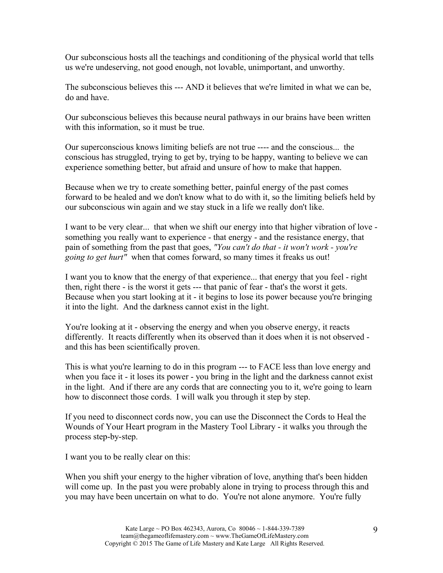Our subconscious hosts all the teachings and conditioning of the physical world that tells us we're undeserving, not good enough, not lovable, unimportant, and unworthy.

The subconscious believes this --- AND it believes that we're limited in what we can be, do and have.

Our subconscious believes this because neural pathways in our brains have been written with this information, so it must be true.

Our superconscious knows limiting beliefs are not true ---- and the conscious... the conscious has struggled, trying to get by, trying to be happy, wanting to believe we can experience something better, but afraid and unsure of how to make that happen.

Because when we try to create something better, painful energy of the past comes forward to be healed and we don't know what to do with it, so the limiting beliefs held by our subconscious win again and we stay stuck in a life we really don't like.

I want to be very clear... that when we shift our energy into that higher vibration of love something you really want to experience - that energy - and the resistance energy, that pain of something from the past that goes, *"You can't do that - it won't work - you're going to get hurt"* when that comes forward, so many times it freaks us out!

I want you to know that the energy of that experience... that energy that you feel - right then, right there - is the worst it gets --- that panic of fear - that's the worst it gets. Because when you start looking at it - it begins to lose its power because you're bringing it into the light. And the darkness cannot exist in the light.

You're looking at it - observing the energy and when you observe energy, it reacts differently. It reacts differently when its observed than it does when it is not observed and this has been scientifically proven.

This is what you're learning to do in this program --- to FACE less than love energy and when you face it - it loses its power - you bring in the light and the darkness cannot exist in the light. And if there are any cords that are connecting you to it, we're going to learn how to disconnect those cords. I will walk you through it step by step.

If you need to disconnect cords now, you can use the Disconnect the Cords to Heal the Wounds of Your Heart program in the Mastery Tool Library - it walks you through the process step-by-step.

I want you to be really clear on this:

When you shift your energy to the higher vibration of love, anything that's been hidden will come up. In the past you were probably alone in trying to process through this and you may have been uncertain on what to do. You're not alone anymore. You're fully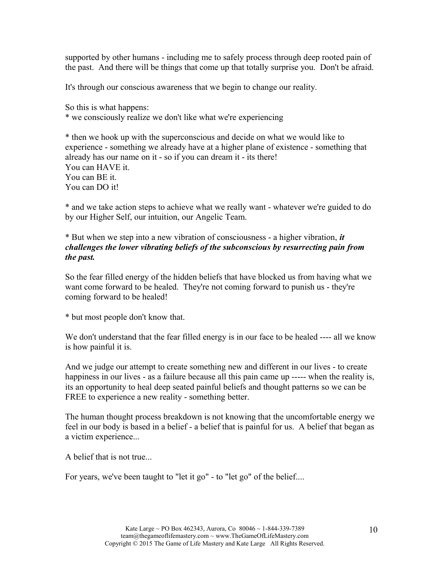supported by other humans - including me to safely process through deep rooted pain of the past. And there will be things that come up that totally surprise you. Don't be afraid.

It's through our conscious awareness that we begin to change our reality.

So this is what happens: \* we consciously realize we don't like what we're experiencing

\* then we hook up with the superconscious and decide on what we would like to experience - something we already have at a higher plane of existence - something that already has our name on it - so if you can dream it - its there! You can HAVE it. You can BE it. You can DO it!

\* and we take action steps to achieve what we really want - whatever we're guided to do by our Higher Self, our intuition, our Angelic Team.

\* But when we step into a new vibration of consciousness - a higher vibration, *it challenges the lower vibrating beliefs of the subconscious by resurrecting pain from the past.*

So the fear filled energy of the hidden beliefs that have blocked us from having what we want come forward to be healed. They're not coming forward to punish us - they're coming forward to be healed!

\* but most people don't know that.

We don't understand that the fear filled energy is in our face to be healed ---- all we know is how painful it is.

And we judge our attempt to create something new and different in our lives - to create happiness in our lives - as a failure because all this pain came up ----- when the reality is, its an opportunity to heal deep seated painful beliefs and thought patterns so we can be FREE to experience a new reality - something better.

The human thought process breakdown is not knowing that the uncomfortable energy we feel in our body is based in a belief - a belief that is painful for us. A belief that began as a victim experience...

A belief that is not true...

For years, we've been taught to "let it go" - to "let go" of the belief....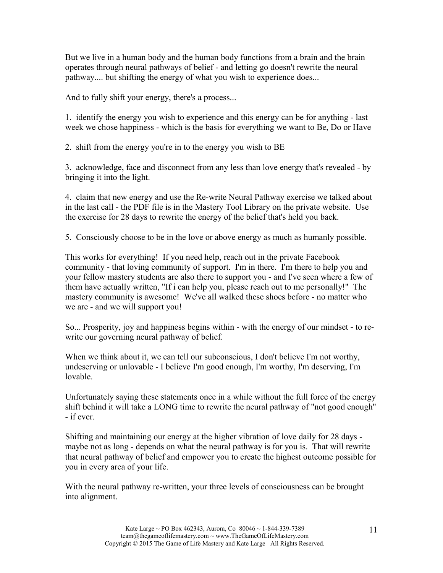But we live in a human body and the human body functions from a brain and the brain operates through neural pathways of belief - and letting go doesn't rewrite the neural pathway.... but shifting the energy of what you wish to experience does...

And to fully shift your energy, there's a process...

1. identify the energy you wish to experience and this energy can be for anything - last week we chose happiness - which is the basis for everything we want to Be, Do or Have

2. shift from the energy you're in to the energy you wish to BE

3. acknowledge, face and disconnect from any less than love energy that's revealed - by bringing it into the light.

4. claim that new energy and use the Re-write Neural Pathway exercise we talked about in the last call - the PDF file is in the Mastery Tool Library on the private website. Use the exercise for 28 days to rewrite the energy of the belief that's held you back.

5. Consciously choose to be in the love or above energy as much as humanly possible.

This works for everything! If you need help, reach out in the private Facebook community - that loving community of support. I'm in there. I'm there to help you and your fellow mastery students are also there to support you - and I've seen where a few of them have actually written, "If i can help you, please reach out to me personally!" The mastery community is awesome! We've all walked these shoes before - no matter who we are - and we will support you!

So... Prosperity, joy and happiness begins within - with the energy of our mindset - to rewrite our governing neural pathway of belief.

When we think about it, we can tell our subconscious, I don't believe I'm not worthy, undeserving or unlovable - I believe I'm good enough, I'm worthy, I'm deserving, I'm lovable.

Unfortunately saying these statements once in a while without the full force of the energy shift behind it will take a LONG time to rewrite the neural pathway of "not good enough" - if ever.

Shifting and maintaining our energy at the higher vibration of love daily for 28 days maybe not as long - depends on what the neural pathway is for you is. That will rewrite that neural pathway of belief and empower you to create the highest outcome possible for you in every area of your life.

With the neural pathway re-written, your three levels of consciousness can be brought into alignment.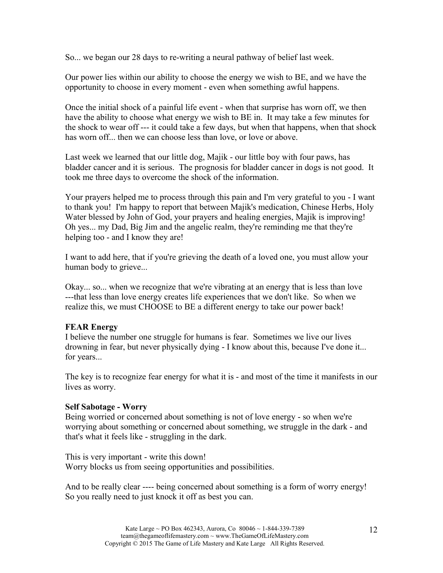So... we began our 28 days to re-writing a neural pathway of belief last week.

Our power lies within our ability to choose the energy we wish to BE, and we have the opportunity to choose in every moment - even when something awful happens.

Once the initial shock of a painful life event - when that surprise has worn off, we then have the ability to choose what energy we wish to BE in. It may take a few minutes for the shock to wear off --- it could take a few days, but when that happens, when that shock has worn off... then we can choose less than love, or love or above.

Last week we learned that our little dog, Majik - our little boy with four paws, has bladder cancer and it is serious. The prognosis for bladder cancer in dogs is not good. It took me three days to overcome the shock of the information.

Your prayers helped me to process through this pain and I'm very grateful to you - I want to thank you! I'm happy to report that between Majik's medication, Chinese Herbs, Holy Water blessed by John of God, your prayers and healing energies, Majik is improving! Oh yes... my Dad, Big Jim and the angelic realm, they're reminding me that they're helping too - and I know they are!

I want to add here, that if you're grieving the death of a loved one, you must allow your human body to grieve...

Okay... so... when we recognize that we're vibrating at an energy that is less than love ---that less than love energy creates life experiences that we don't like. So when we realize this, we must CHOOSE to BE a different energy to take our power back!

## **FEAR Energy**

I believe the number one struggle for humans is fear. Sometimes we live our lives drowning in fear, but never physically dying - I know about this, because I've done it... for years...

The key is to recognize fear energy for what it is - and most of the time it manifests in our lives as worry.

#### **Self Sabotage - Worry**

Being worried or concerned about something is not of love energy - so when we're worrying about something or concerned about something, we struggle in the dark - and that's what it feels like - struggling in the dark.

This is very important - write this down! Worry blocks us from seeing opportunities and possibilities.

And to be really clear ---- being concerned about something is a form of worry energy! So you really need to just knock it off as best you can.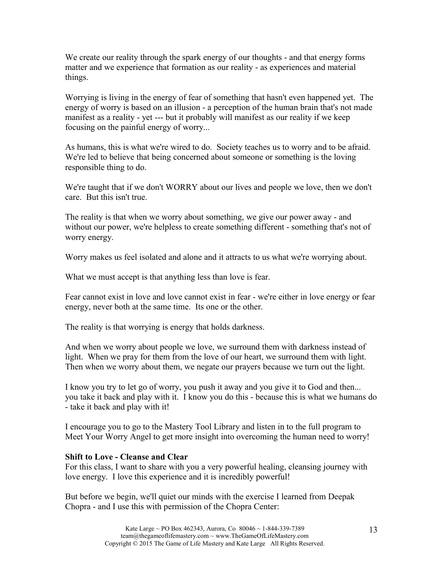We create our reality through the spark energy of our thoughts - and that energy forms matter and we experience that formation as our reality - as experiences and material things.

Worrying is living in the energy of fear of something that hasn't even happened yet. The energy of worry is based on an illusion - a perception of the human brain that's not made manifest as a reality - yet --- but it probably will manifest as our reality if we keep focusing on the painful energy of worry...

As humans, this is what we're wired to do. Society teaches us to worry and to be afraid. We're led to believe that being concerned about someone or something is the loving responsible thing to do.

We're taught that if we don't WORRY about our lives and people we love, then we don't care. But this isn't true.

The reality is that when we worry about something, we give our power away - and without our power, we're helpless to create something different - something that's not of worry energy.

Worry makes us feel isolated and alone and it attracts to us what we're worrying about.

What we must accept is that anything less than love is fear.

Fear cannot exist in love and love cannot exist in fear - we're either in love energy or fear energy, never both at the same time. Its one or the other.

The reality is that worrying is energy that holds darkness.

And when we worry about people we love, we surround them with darkness instead of light. When we pray for them from the love of our heart, we surround them with light. Then when we worry about them, we negate our prayers because we turn out the light.

I know you try to let go of worry, you push it away and you give it to God and then... you take it back and play with it. I know you do this - because this is what we humans do - take it back and play with it!

I encourage you to go to the Mastery Tool Library and listen in to the full program to Meet Your Worry Angel to get more insight into overcoming the human need to worry!

#### **Shift to Love - Cleanse and Clear**

For this class, I want to share with you a very powerful healing, cleansing journey with love energy. I love this experience and it is incredibly powerful!

But before we begin, we'll quiet our minds with the exercise I learned from Deepak Chopra - and I use this with permission of the Chopra Center: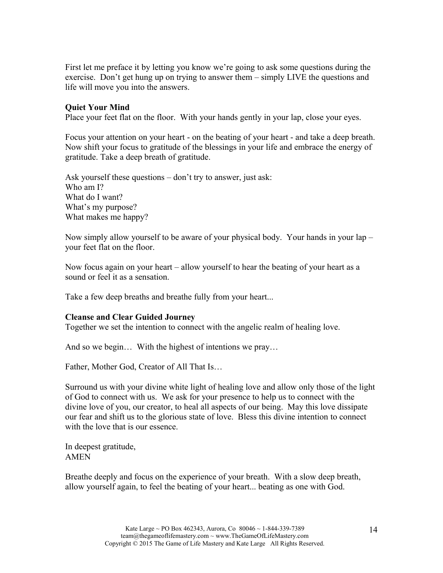First let me preface it by letting you know we're going to ask some questions during the exercise. Don't get hung up on trying to answer them – simply LIVE the questions and life will move you into the answers.

#### **Quiet Your Mind**

Place your feet flat on the floor. With your hands gently in your lap, close your eyes.

Focus your attention on your heart - on the beating of your heart - and take a deep breath. Now shift your focus to gratitude of the blessings in your life and embrace the energy of gratitude. Take a deep breath of gratitude.

Ask yourself these questions – don't try to answer, just ask: Who am I? What do I want? What's my purpose? What makes me happy?

Now simply allow yourself to be aware of your physical body. Your hands in your lap – your feet flat on the floor.

Now focus again on your heart – allow yourself to hear the beating of your heart as a sound or feel it as a sensation.

Take a few deep breaths and breathe fully from your heart...

#### **Cleanse and Clear Guided Journey**

Together we set the intention to connect with the angelic realm of healing love.

And so we begin… With the highest of intentions we pray…

Father, Mother God, Creator of All That Is…

Surround us with your divine white light of healing love and allow only those of the light of God to connect with us. We ask for your presence to help us to connect with the divine love of you, our creator, to heal all aspects of our being. May this love dissipate our fear and shift us to the glorious state of love. Bless this divine intention to connect with the love that is our essence.

In deepest gratitude, AMEN

Breathe deeply and focus on the experience of your breath. With a slow deep breath, allow yourself again, to feel the beating of your heart... beating as one with God.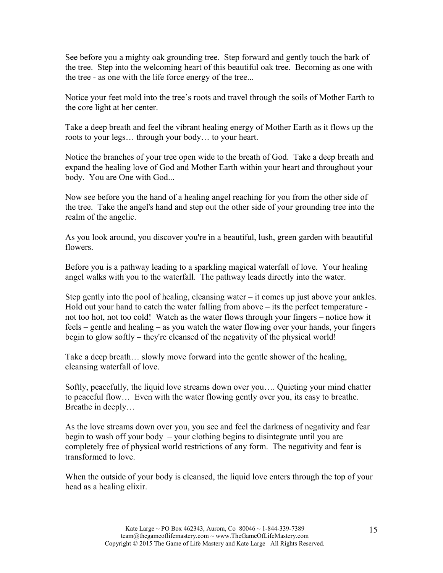See before you a mighty oak grounding tree. Step forward and gently touch the bark of the tree. Step into the welcoming heart of this beautiful oak tree. Becoming as one with the tree - as one with the life force energy of the tree...

Notice your feet mold into the tree's roots and travel through the soils of Mother Earth to the core light at her center.

Take a deep breath and feel the vibrant healing energy of Mother Earth as it flows up the roots to your legs… through your body… to your heart.

Notice the branches of your tree open wide to the breath of God. Take a deep breath and expand the healing love of God and Mother Earth within your heart and throughout your body. You are One with God...

Now see before you the hand of a healing angel reaching for you from the other side of the tree. Take the angel's hand and step out the other side of your grounding tree into the realm of the angelic.

As you look around, you discover you're in a beautiful, lush, green garden with beautiful flowers.

Before you is a pathway leading to a sparkling magical waterfall of love. Your healing angel walks with you to the waterfall. The pathway leads directly into the water.

Step gently into the pool of healing, cleansing water – it comes up just above your ankles. Hold out your hand to catch the water falling from above – its the perfect temperature not too hot, not too cold! Watch as the water flows through your fingers – notice how it feels – gentle and healing – as you watch the water flowing over your hands, your fingers begin to glow softly – they're cleansed of the negativity of the physical world!

Take a deep breath… slowly move forward into the gentle shower of the healing, cleansing waterfall of love.

Softly, peacefully, the liquid love streams down over you…. Quieting your mind chatter to peaceful flow… Even with the water flowing gently over you, its easy to breathe. Breathe in deeply…

As the love streams down over you, you see and feel the darkness of negativity and fear begin to wash off your body – your clothing begins to disintegrate until you are completely free of physical world restrictions of any form. The negativity and fear is transformed to love.

When the outside of your body is cleansed, the liquid love enters through the top of your head as a healing elixir.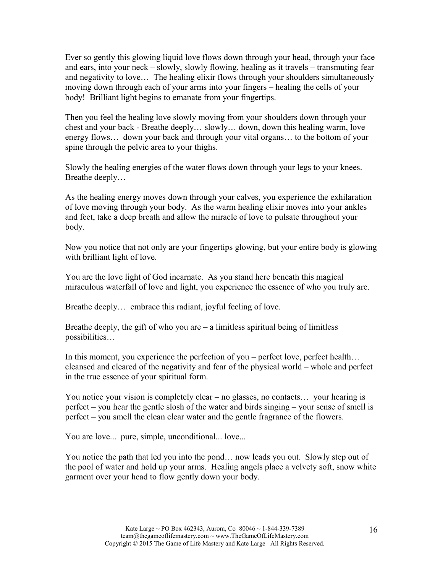Ever so gently this glowing liquid love flows down through your head, through your face and ears, into your neck – slowly, slowly flowing, healing as it travels – transmuting fear and negativity to love… The healing elixir flows through your shoulders simultaneously moving down through each of your arms into your fingers – healing the cells of your body! Brilliant light begins to emanate from your fingertips.

Then you feel the healing love slowly moving from your shoulders down through your chest and your back - Breathe deeply… slowly… down, down this healing warm, love energy flows… down your back and through your vital organs… to the bottom of your spine through the pelvic area to your thighs.

Slowly the healing energies of the water flows down through your legs to your knees. Breathe deeply…

As the healing energy moves down through your calves, you experience the exhilaration of love moving through your body. As the warm healing elixir moves into your ankles and feet, take a deep breath and allow the miracle of love to pulsate throughout your body.

Now you notice that not only are your fingertips glowing, but your entire body is glowing with brilliant light of love.

You are the love light of God incarnate. As you stand here beneath this magical miraculous waterfall of love and light, you experience the essence of who you truly are.

Breathe deeply... embrace this radiant, joyful feeling of love.

Breathe deeply, the gift of who you are  $-\alpha$  limitless spiritual being of limitless possibilities…

In this moment, you experience the perfection of you – perfect love, perfect health… cleansed and cleared of the negativity and fear of the physical world – whole and perfect in the true essence of your spiritual form.

You notice your vision is completely clear – no glasses, no contacts… your hearing is perfect – you hear the gentle slosh of the water and birds singing – your sense of smell is perfect – you smell the clean clear water and the gentle fragrance of the flowers.

You are love... pure, simple, unconditional... love...

You notice the path that led you into the pond… now leads you out. Slowly step out of the pool of water and hold up your arms. Healing angels place a velvety soft, snow white garment over your head to flow gently down your body.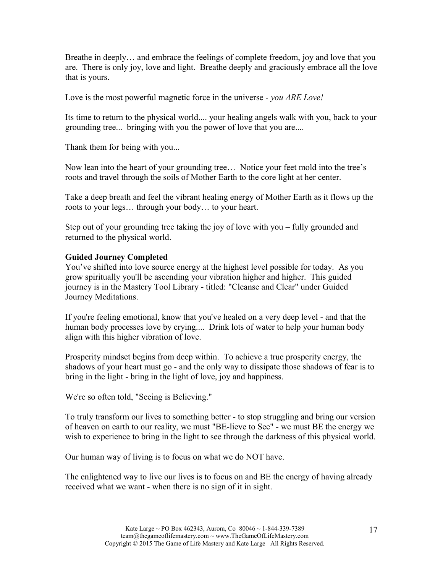Breathe in deeply… and embrace the feelings of complete freedom, joy and love that you are. There is only joy, love and light. Breathe deeply and graciously embrace all the love that is yours.

Love is the most powerful magnetic force in the universe - *you ARE Love!*

Its time to return to the physical world.... your healing angels walk with you, back to your grounding tree... bringing with you the power of love that you are....

Thank them for being with you...

Now lean into the heart of your grounding tree… Notice your feet mold into the tree's roots and travel through the soils of Mother Earth to the core light at her center.

Take a deep breath and feel the vibrant healing energy of Mother Earth as it flows up the roots to your legs… through your body… to your heart.

Step out of your grounding tree taking the joy of love with you – fully grounded and returned to the physical world.

## **Guided Journey Completed**

You've shifted into love source energy at the highest level possible for today. As you grow spiritually you'll be ascending your vibration higher and higher. This guided journey is in the Mastery Tool Library - titled: "Cleanse and Clear" under Guided Journey Meditations.

If you're feeling emotional, know that you've healed on a very deep level - and that the human body processes love by crying.... Drink lots of water to help your human body align with this higher vibration of love.

Prosperity mindset begins from deep within. To achieve a true prosperity energy, the shadows of your heart must go - and the only way to dissipate those shadows of fear is to bring in the light - bring in the light of love, joy and happiness.

We're so often told, "Seeing is Believing."

To truly transform our lives to something better - to stop struggling and bring our version of heaven on earth to our reality, we must "BE-lieve to See" - we must BE the energy we wish to experience to bring in the light to see through the darkness of this physical world.

Our human way of living is to focus on what we do NOT have.

The enlightened way to live our lives is to focus on and BE the energy of having already received what we want - when there is no sign of it in sight.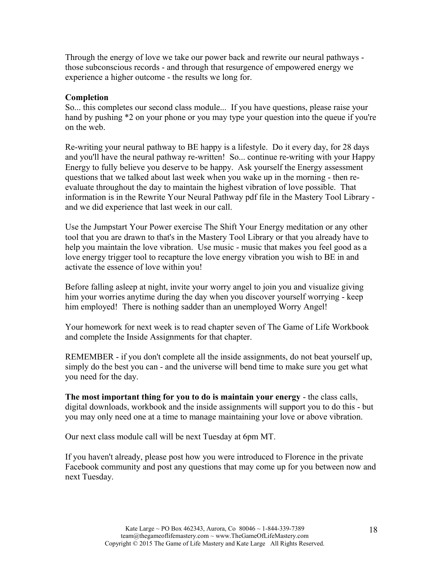Through the energy of love we take our power back and rewrite our neural pathways those subconscious records - and through that resurgence of empowered energy we experience a higher outcome - the results we long for.

## **Completion**

So... this completes our second class module... If you have questions, please raise your hand by pushing  $*2$  on your phone or you may type your question into the queue if you're on the web.

Re-writing your neural pathway to BE happy is a lifestyle. Do it every day, for 28 days and you'll have the neural pathway re-written! So... continue re-writing with your Happy Energy to fully believe you deserve to be happy. Ask yourself the Energy assessment questions that we talked about last week when you wake up in the morning - then reevaluate throughout the day to maintain the highest vibration of love possible. That information is in the Rewrite Your Neural Pathway pdf file in the Mastery Tool Library and we did experience that last week in our call.

Use the Jumpstart Your Power exercise The Shift Your Energy meditation or any other tool that you are drawn to that's in the Mastery Tool Library or that you already have to help you maintain the love vibration. Use music - music that makes you feel good as a love energy trigger tool to recapture the love energy vibration you wish to BE in and activate the essence of love within you!

Before falling asleep at night, invite your worry angel to join you and visualize giving him your worries anytime during the day when you discover yourself worrying - keep him employed! There is nothing sadder than an unemployed Worry Angel!

Your homework for next week is to read chapter seven of The Game of Life Workbook and complete the Inside Assignments for that chapter.

REMEMBER - if you don't complete all the inside assignments, do not beat yourself up, simply do the best you can - and the universe will bend time to make sure you get what you need for the day.

**The most important thing for you to do is maintain your energy** - the class calls, digital downloads, workbook and the inside assignments will support you to do this - but you may only need one at a time to manage maintaining your love or above vibration.

Our next class module call will be next Tuesday at 6pm MT.

If you haven't already, please post how you were introduced to Florence in the private Facebook community and post any questions that may come up for you between now and next Tuesday.